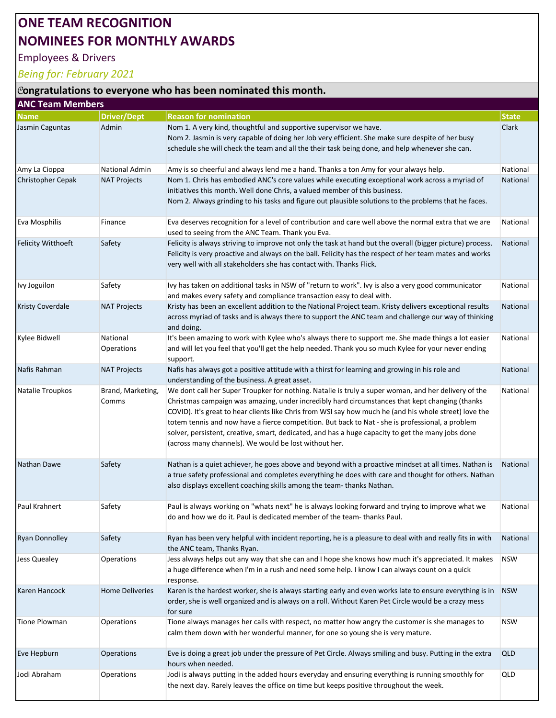## ONE TEAM RECOGNITION NOMINEES FOR MONTHLY AWARDS

## Employees & Drivers

## Being for: February 2021

## $|$  congratulations to everyone who has been nominated this month.

| <b>ANC Team Members</b>   |                            |                                                                                                                                                                                                                                                                                                                                                                                                                                                                                                                                                                                    |              |  |  |
|---------------------------|----------------------------|------------------------------------------------------------------------------------------------------------------------------------------------------------------------------------------------------------------------------------------------------------------------------------------------------------------------------------------------------------------------------------------------------------------------------------------------------------------------------------------------------------------------------------------------------------------------------------|--------------|--|--|
| <b>Name</b>               | <b>Driver/Dept</b>         | <b>Reason for nomination</b>                                                                                                                                                                                                                                                                                                                                                                                                                                                                                                                                                       | <b>State</b> |  |  |
| Jasmin Caguntas           | Admin                      | Nom 1. A very kind, thoughtful and supportive supervisor we have.<br>Nom 2. Jasmin is very capable of doing her Job very efficient. She make sure despite of her busy                                                                                                                                                                                                                                                                                                                                                                                                              | Clark        |  |  |
|                           |                            | schedule she will check the team and all the their task being done, and help whenever she can.                                                                                                                                                                                                                                                                                                                                                                                                                                                                                     |              |  |  |
| Amy La Cioppa             | <b>National Admin</b>      | Amy is so cheerful and always lend me a hand. Thanks a ton Amy for your always help.                                                                                                                                                                                                                                                                                                                                                                                                                                                                                               | National     |  |  |
| <b>Christopher Cepak</b>  | <b>NAT Projects</b>        | Nom 1. Chris has embodied ANC's core values while executing exceptional work across a myriad of<br>initiatives this month. Well done Chris, a valued member of this business.<br>Nom 2. Always grinding to his tasks and figure out plausible solutions to the problems that he faces.                                                                                                                                                                                                                                                                                             | National     |  |  |
| Eva Mosphilis             | Finance                    | Eva deserves recognition for a level of contribution and care well above the normal extra that we are<br>used to seeing from the ANC Team. Thank you Eva.                                                                                                                                                                                                                                                                                                                                                                                                                          | National     |  |  |
| <b>Felicity Witthoeft</b> | Safety                     | Felicity is always striving to improve not only the task at hand but the overall (bigger picture) process.<br>Felicity is very proactive and always on the ball. Felicity has the respect of her team mates and works<br>very well with all stakeholders she has contact with. Thanks Flick.                                                                                                                                                                                                                                                                                       | National     |  |  |
| Ivy Joguilon              | Safety                     | Ivy has taken on additional tasks in NSW of "return to work". Ivy is also a very good communicator<br>and makes every safety and compliance transaction easy to deal with.                                                                                                                                                                                                                                                                                                                                                                                                         | National     |  |  |
| <b>Kristy Coverdale</b>   | <b>NAT Projects</b>        | Kristy has been an excellent addition to the National Project team. Kristy delivers exceptional results<br>across myriad of tasks and is always there to support the ANC team and challenge our way of thinking<br>and doing.                                                                                                                                                                                                                                                                                                                                                      | National     |  |  |
| Kylee Bidwell             | National<br>Operations     | It's been amazing to work with Kylee who's always there to support me. She made things a lot easier<br>and will let you feel that you'll get the help needed. Thank you so much Kylee for your never ending<br>support.                                                                                                                                                                                                                                                                                                                                                            | National     |  |  |
| Nafis Rahman              | <b>NAT Projects</b>        | Nafis has always got a positive attitude with a thirst for learning and growing in his role and<br>understanding of the business. A great asset.                                                                                                                                                                                                                                                                                                                                                                                                                                   | National     |  |  |
| Natalie Troupkos          | Brand, Marketing,<br>Comms | We dont call her Super Troupker for nothing. Natalie is truly a super woman, and her delivery of the<br>Christmas campaign was amazing, under incredibly hard circumstances that kept changing (thanks<br>COVID). It's great to hear clients like Chris from WSI say how much he (and his whole street) love the<br>totem tennis and now have a fierce competition. But back to Nat - she is professional, a problem<br>solver, persistent, creative, smart, dedicated, and has a huge capacity to get the many jobs done<br>(across many channels). We would be lost without her. | National     |  |  |
| <b>Nathan Dawe</b>        | Safety                     | Nathan is a quiet achiever, he goes above and beyond with a proactive mindset at all times. Nathan is<br>a true safety professional and completes everything he does with care and thought for others. Nathan<br>also displays excellent coaching skills among the team-thanks Nathan.                                                                                                                                                                                                                                                                                             | National     |  |  |
| Paul Krahnert             | Safety                     | Paul is always working on "whats next" he is always looking forward and trying to improve what we<br>do and how we do it. Paul is dedicated member of the team-thanks Paul.                                                                                                                                                                                                                                                                                                                                                                                                        | National     |  |  |
| <b>Ryan Donnolley</b>     | Safety                     | Ryan has been very helpful with incident reporting, he is a pleasure to deal with and really fits in with<br>the ANC team, Thanks Ryan.                                                                                                                                                                                                                                                                                                                                                                                                                                            | National     |  |  |
| Jess Quealey              | Operations                 | Jess always helps out any way that she can and I hope she knows how much it's appreciated. It makes<br>a huge difference when I'm in a rush and need some help. I know I can always count on a quick<br>response.                                                                                                                                                                                                                                                                                                                                                                  | <b>NSW</b>   |  |  |
| Karen Hancock             | <b>Home Deliveries</b>     | Karen is the hardest worker, she is always starting early and even works late to ensure everything is in<br>order, she is well organized and is always on a roll. Without Karen Pet Circle would be a crazy mess<br>for sure                                                                                                                                                                                                                                                                                                                                                       | <b>NSW</b>   |  |  |
| <b>Tione Plowman</b>      | Operations                 | Tione always manages her calls with respect, no matter how angry the customer is she manages to<br>calm them down with her wonderful manner, for one so young she is very mature.                                                                                                                                                                                                                                                                                                                                                                                                  | <b>NSW</b>   |  |  |
| Eve Hepburn               | Operations                 | Eve is doing a great job under the pressure of Pet Circle. Always smiling and busy. Putting in the extra<br>hours when needed.                                                                                                                                                                                                                                                                                                                                                                                                                                                     | <b>QLD</b>   |  |  |
| Jodi Abraham              | <b>Operations</b>          | Jodi is always putting in the added hours everyday and ensuring everything is running smoothly for<br>the next day. Rarely leaves the office on time but keeps positive throughout the week.                                                                                                                                                                                                                                                                                                                                                                                       | QLD          |  |  |